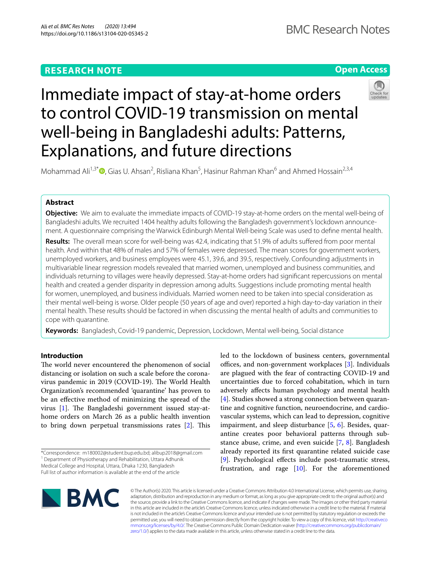# **RESEARCH NOTE**

# **Open Access**



# Mohammad Ali<sup>1[,](http://orcid.org/0000-0002-4685-5050)3\*</sup><sup>®</sup>, Gias U. Ahsan<sup>2</sup>, Risliana Khan<sup>5</sup>, Hasinur Rahman Khan<sup>6</sup> and Ahmed Hossain<sup>2,3,4</sup>

Immediate impact of stay-at-home orders

to control COVID-19 transmission on mental

well-being in Bangladeshi adults: Patterns,

Explanations, and future directions

# **Abstract**

**Objective:** We aim to evaluate the immediate impacts of COVID-19 stay-at-home orders on the mental well-being of Bangladeshi adults. We recruited 1404 healthy adults following the Bangladesh government's lockdown announcement. A questionnaire comprising the Warwick Edinburgh Mental Well-being Scale was used to defne mental health.

**Results:** The overall mean score for well-being was 42.4, indicating that 51.9% of adults sufered from poor mental health. And within that 48% of males and 57% of females were depressed. The mean scores for government workers, unemployed workers, and business employees were 45.1, 39.6, and 39.5, respectively. Confounding adjustments in multivariable linear regression models revealed that married women, unemployed and business communities, and individuals returning to villages were heavily depressed. Stay-at-home orders had signifcant repercussions on mental health and created a gender disparity in depression among adults. Suggestions include promoting mental health for women, unemployed, and business individuals. Married women need to be taken into special consideration as their mental well-being is worse. Older people (50 years of age and over) reported a high day-to-day variation in their mental health. These results should be factored in when discussing the mental health of adults and communities to cope with quarantine.

**Keywords:** Bangladesh, Covid-19 pandemic, Depression, Lockdown, Mental well-being, Social distance

# **Introduction**

The world never encountered the phenomenon of social distancing or isolation on such a scale before the coronavirus pandemic in 2019 (COVID-19). The World Health Organization's recommended 'quarantine' has proven to be an efective method of minimizing the spread of the virus  $[1]$  $[1]$ . The Bangladeshi government issued stay-athome orders on March 26 as a public health invention to bring down perpetual transmissions rates  $[2]$  $[2]$ . This

\*Correspondence: m180002@student.bup.edu.bd; alibup2018@gmail.com <sup>1</sup> Department of Physiotherapy and Rehabilitation, Uttara Adhunik Medical College and Hospital, Uttara, Dhaka 1230, Bangladesh Full list of author information is available at the end of the article

led to the lockdown of business centers, governmental offices, and non-government workplaces  $[3]$  $[3]$ . Individuals are plagued with the fear of contracting COVID-19 and uncertainties due to forced cohabitation, which in turn adversely afects human psychology and mental health [[4\]](#page-6-3). Studies showed a strong connection between quarantine and cognitive function, neuroendocrine, and cardiovascular systems, which can lead to depression, cognitive impairment, and sleep disturbance [[5,](#page-6-4) [6](#page-6-5)]. Besides, quarantine creates poor behavioral patterns through substance abuse, crime, and even suicide [[7,](#page-6-6) [8](#page-6-7)]. Bangladesh already reported its frst quarantine related suicide case [[9\]](#page-6-8). Psychological effects include post-traumatic stress, frustration, and rage [\[10\]](#page-6-9). For the aforementioned



© The Author(s) 2020. This article is licensed under a Creative Commons Attribution 4.0 International License, which permits use, sharing, adaptation, distribution and reproduction in any medium or format, as long as you give appropriate credit to the original author(s) and the source, provide a link to the Creative Commons licence, and indicate if changes were made. The images or other third party material in this article are included in the article's Creative Commons licence, unless indicated otherwise in a credit line to the material. If material is not included in the article's Creative Commons licence and your intended use is not permitted by statutory regulation or exceeds the permitted use, you will need to obtain permission directly from the copyright holder. To view a copy of this licence, visit [http://creativeco](http://creativecommons.org/licenses/by/4.0/) [mmons.org/licenses/by/4.0/.](http://creativecommons.org/licenses/by/4.0/) The Creative Commons Public Domain Dedication waiver ([http://creativecommons.org/publicdomain/](http://creativecommons.org/publicdomain/zero/1.0/) [zero/1.0/\)](http://creativecommons.org/publicdomain/zero/1.0/) applies to the data made available in this article, unless otherwise stated in a credit line to the data.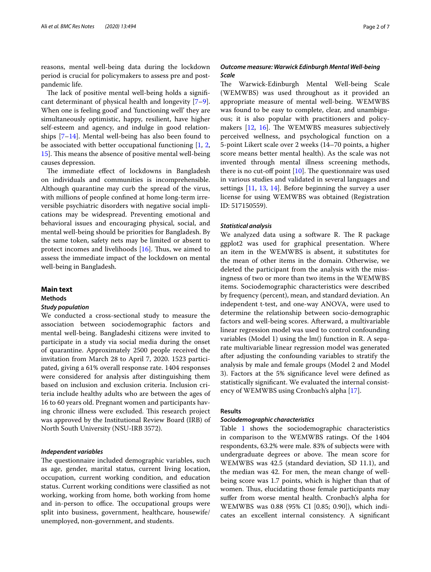reasons, mental well-being data during the lockdown period is crucial for policymakers to assess pre and postpandemic life.

The lack of positive mental well-being holds a significant determinant of physical health and longevity [\[7](#page-6-6)[–9](#page-6-8)]. When one is feeling good' and 'functioning well' they are simultaneously optimistic, happy, resilient, have higher self-esteem and agency, and indulge in good relationships [[7](#page-6-6)[–14](#page-6-10)]. Mental well-being has also been found to be associated with better occupational functioning [\[1](#page-6-0), [2](#page-6-1), [15\]](#page-6-11). This means the absence of positive mental well-being causes depression.

The immediate effect of lockdowns in Bangladesh on individuals and communities is incomprehensible. Although quarantine may curb the spread of the virus, with millions of people confned at home long-term irreversible psychiatric disorders with negative social implications may be widespread. Preventing emotional and behavioral issues and encouraging physical, social, and mental well-being should be priorities for Bangladesh. By the same token, safety nets may be limited or absent to protect incomes and livelihoods  $[16]$  $[16]$  $[16]$ . Thus, we aimed to assess the immediate impact of the lockdown on mental well-being in Bangladesh.

# **Main text**

#### **Methods**

# *Study population*

We conducted a cross-sectional study to measure the association between sociodemographic factors and mental well-being. Bangladeshi citizens were invited to participate in a study via social media during the onset of quarantine. Approximately 2500 people received the invitation from March 28 to April 7, 2020. 1523 participated, giving a 61% overall response rate. 1404 responses were considered for analysis after distinguishing them based on inclusion and exclusion criteria. Inclusion criteria include healthy adults who are between the ages of 16 to 60 years old. Pregnant women and participants having chronic illness were excluded. This research project was approved by the Institutional Review Board (IRB) of North South University (NSU-IRB 3572).

#### *Independent variables*

The questionnaire included demographic variables, such as age, gender, marital status, current living location, occupation, current working condition, and education status. Current working conditions were classifed as not working, working from home, both working from home and in-person to office. The occupational groups were split into business, government, healthcare, housewife/ unemployed, non-government, and students.

# *Outcome measure: Warwick Edinburgh Mental Well‑being Scale*

The Warwick-Edinburgh Mental Well-being Scale (WEMWBS) was used throughout as it provided an appropriate measure of mental well-being. WEMWBS was found to be easy to complete, clear, and unambiguous; it is also popular with practitioners and policy-makers [[12,](#page-6-13) [16](#page-6-12)]. The WEMWBS measures subjectively perceived wellness, and psychological function on a 5-point Likert scale over 2 weeks (14–70 points, a higher score means better mental health). As the scale was not invented through mental illness screening methods, there is no cut-off point  $[10]$  $[10]$  $[10]$ . The questionnaire was used in various studies and validated in several languages and settings [[11,](#page-6-14) [13](#page-6-15), [14](#page-6-10)]. Before beginning the survey a user license for using WEMWBS was obtained (Registration ID: 517150559).

### *Statistical analysis*

We analyzed data using a software R. The R package ggplot2 was used for graphical presentation. Where an item in the WEMWBS is absent, it substitutes for the mean of other items in the domain. Otherwise, we deleted the participant from the analysis with the missingness of two or more than two items in the WEMWBS items. Sociodemographic characteristics were described by frequency (percent), mean, and standard deviation. An independent t-test, and one-way ANOVA, were used to determine the relationship between socio-demographic factors and well-being scores. Afterward, a multivariable linear regression model was used to control confounding variables (Model 1) using the lm() function in R. A separate multivariable linear regression model was generated after adjusting the confounding variables to stratify the analysis by male and female groups (Model 2 and Model 3). Factors at the 5% signifcance level were defned as statistically signifcant. We evaluated the internal consistency of WEMWBS using Cronbach's alpha [\[17](#page-6-16)].

### **Results**

### *Sociodemographic characteristics*

Table [1](#page-2-0) shows the sociodemographic characteristics in comparison to the WEMWBS ratings. Of the 1404 respondents, 63.2% were male. 83% of subjects were with undergraduate degrees or above. The mean score for WEMWBS was 42.5 (standard deviation, SD 11.1), and the median was 42. For men, the mean change of wellbeing score was 1.7 points, which is higher than that of women. Thus, elucidating those female participants may sufer from worse mental health. Cronbach's alpha for WEMWBS was 0.88 (95% CI [0.85; 0.90]), which indicates an excellent internal consistency. A signifcant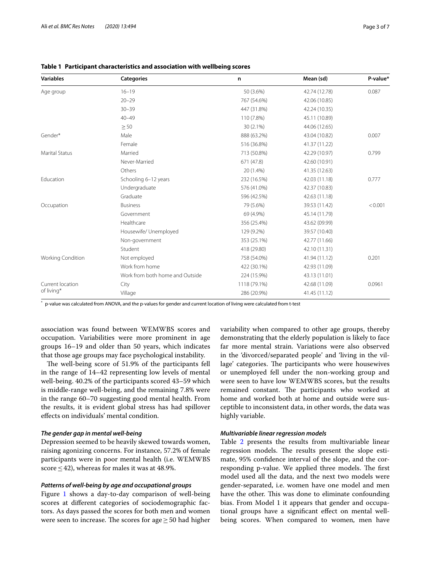| <b>Variables</b>      | Categories                      | n            | Mean (sd)     | P-value* |
|-----------------------|---------------------------------|--------------|---------------|----------|
| Age group             | $16 - 19$                       | 50 (3.6%)    | 42.74 (12.78) | 0.087    |
|                       | $20 - 29$                       | 767 (54.6%)  | 42.06 (10.85) |          |
|                       | $30 - 39$                       | 447 (31.8%)  | 42.24 (10.35) |          |
|                       | $40 - 49$                       | 110 (7.8%)   | 45.11 (10.89) |          |
|                       | $\geq 50$                       | $30(2.1\%)$  | 44.06 (12.65) |          |
| Gender*               | Male                            | 888 (63.2%)  | 43.04 (10.82) | 0.007    |
|                       | Female                          | 516 (36.8%)  | 41.37 (11.22) |          |
| <b>Marital Status</b> | Married                         | 713 (50.8%)  | 42.29 (10.97) | 0.799    |
|                       | Never-Married                   | 671 (47.8)   | 42.60 (10.91) |          |
|                       | Others                          | 20 (1.4%)    | 41.35 (12.63) |          |
| Education             | Schooling 6-12 years            | 232 (16.5%)  | 42.03 (11.18) | 0.777    |
|                       | Undergraduate                   | 576 (41.0%)  | 42.37 (10.83) |          |
|                       | Graduate                        | 596 (42.5%)  | 42.63 (11.18) |          |
| Occupation            | <b>Business</b>                 | 79 (5.6%)    | 39.53 (11.42) | < 0.001  |
|                       | Government                      | 69 (4.9%)    | 45.14 (11.79) |          |
|                       | Healthcare                      | 356 (25.4%)  | 43.62 (09.99) |          |
|                       | Housewife/ Unemployed           | 129 (9.2%)   | 39.57 (10.40) |          |
|                       | Non-government                  | 353 (25.1%)  | 42.77 (11.66) |          |
|                       | Student                         | 418 (29.80)  | 42.10 (11.31) |          |
| Working Condition     | Not employed                    | 758 (54.0%)  | 41.94 (11.12) | 0.201    |
|                       | Work from home                  | 422 (30.1%)  | 42.93 (11.09) |          |
|                       | Work from both home and Outside | 224 (15.9%)  | 43.13 (11.01) |          |
| Current location      | City                            | 1118 (79.1%) | 42.68 (11.09) | 0.0961   |
| of living*            | Village                         | 286 (20.9%)  | 41.45 (11.12) |          |

#### <span id="page-2-0"></span>**Table 1 Participant characteristics and association with wellbeing scores**

\* p-value was calculated from ANOVA, and the p-values for gender and current location of living were calculated from t-test

association was found between WEMWBS scores and occupation. Variabilities were more prominent in age groups 16–19 and older than 50 years, which indicates that those age groups may face psychological instability.

The well-being score of 51.9% of the participants fell in the range of 14–42 representing low levels of mental well-being. 40.2% of the participants scored 43–59 which is middle-range well-being, and the remaining 7.8% were in the range 60–70 suggesting good mental health. From the results, it is evident global stress has had spillover efects on individuals' mental condition.

# *The gender gap in mental well‑being*

Depression seemed to be heavily skewed towards women, raising agonizing concerns. For instance, 57.2% of female participants were in poor mental health (i.e. WEMWBS score  $\leq$  42), whereas for males it was at 48.9%.

## *Patterns of well‑being by age and occupational groups*

Figure [1](#page-3-0) shows a day-to-day comparison of well-being scores at diferent categories of sociodemographic factors. As days passed the scores for both men and women were seen to increase. The scores for age  $\geq$  50 had higher variability when compared to other age groups, thereby demonstrating that the elderly population is likely to face far more mental strain. Variations were also observed in the 'divorced/separated people' and 'living in the village' categories. The participants who were housewives or unemployed fell under the non-working group and were seen to have low WEMWBS scores, but the results remained constant. The participants who worked at home and worked both at home and outside were susceptible to inconsistent data, in other words, the data was highly variable.

# *Multivariable linear regression models*

Table [2](#page-4-0) presents the results from multivariable linear regression models. The results present the slope estimate, 95% confdence interval of the slope, and the corresponding p-value. We applied three models. The first model used all the data, and the next two models were gender-separated, i.e. women have one model and men have the other. This was done to eliminate confounding bias. From Model 1 it appears that gender and occupational groups have a signifcant efect on mental wellbeing scores. When compared to women, men have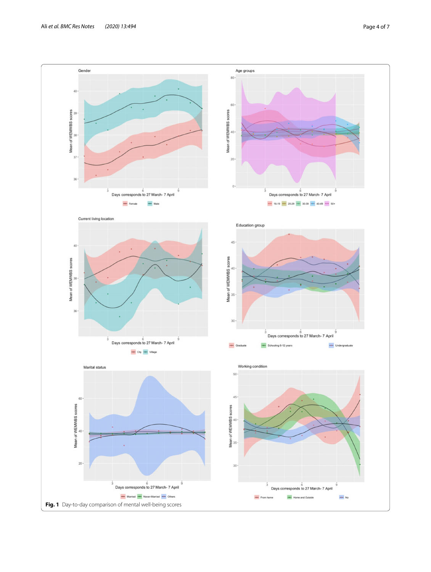<span id="page-3-0"></span>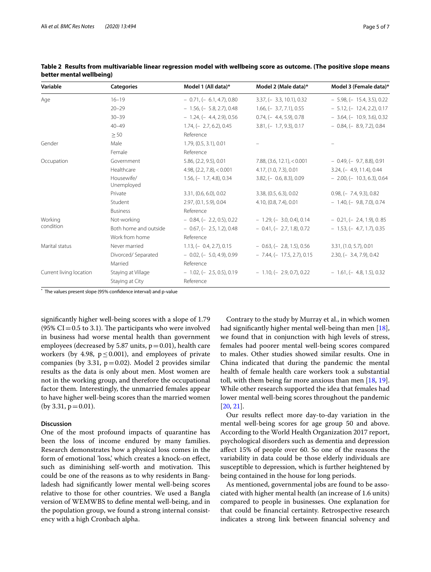| Variable                | <b>Categories</b>        | Model 1 (All data)*               | Model 2 (Male data)*             | Model 3 (Female data)*          |
|-------------------------|--------------------------|-----------------------------------|----------------------------------|---------------------------------|
| Age                     | $16 - 19$                | $-0.71$ , $(-6.1, 4.7)$ , 0.80    | $3.37, (-3.3, 10.1), 0.32$       | $-5.98$ , $(-15.4, 3.5)$ , 0.22 |
|                         | $20 - 29$                | $-1.56$ , $(-5.8, 2.7)$ , 0.48    | $1.66$ , $(-3.7, 7.1)$ , 0.55    | $-5.12$ , $(-12.4, 2.2)$ , 0.17 |
|                         | $30 - 39$                | $-1.24$ , $(-4.4, 2.9)$ , 0.56    | $0.74, (-4.4, 5.9), 0.78$        | $-3.64$ , $(-10.9, 3.6)$ , 0.32 |
|                         | $40 - 49$                | $1.74$ , $(-2.7, 6.2)$ , 0.45     | $3.81, (-1.7, 9.3), 0.17$        | $-0.84, (-8.9, 7.2), 0.84$      |
|                         | $\geq 50$                | Reference                         |                                  |                                 |
| Gender                  | Male                     | 1.79, (0.5, 3.1), 0.01            |                                  |                                 |
|                         | Female                   | Reference                         |                                  |                                 |
| Occupation              | Government               | 5.86, (2.2, 9.5), 0.01            | $7.88$ , $(3.6, 12.1)$ , < 0.001 | $-0.49$ , $(-9.7, 8.8)$ , 0.91  |
|                         | Healthcare               | $4.98$ , $(2.2, 7.8)$ , $< 0.001$ | 4.17, (1.0, 7.3), 0.01           | $3.24, (-4.9, 11.4), 0.44$      |
|                         | Housewife/<br>Unemployed | $1.56$ , $(-1.7, 4.8)$ , 0.34     | $3.82, (-0.6, 8.3), 0.09$        | $-2.00$ , $(-10.3, 6.3)$ , 0.64 |
|                         | Private                  | 3.31, (0.6, 6.0), 0.02            | 3.38, (0.5, 6.3), 0.02           | $0.98$ , $(-7.4, 9.3)$ , $0.82$ |
|                         | Student                  | 2.97, (0.1, 5.9), 0.04            | 4.10, (0.8, 7.4), 0.01           | $-1.40$ , $(-9.8, 7.0)$ , 0.74  |
|                         | <b>Business</b>          | Reference                         |                                  |                                 |
| Working<br>condition    | Not-working              | $-0.84, (-2.2, 0.5), 0.22$        | $-1.29$ , $(-3.0, 0.4)$ , 0.14   | $-0.21$ , $(-2.4, 1.9)$ , 0.85  |
|                         | Both home and outside    | $-0.67$ , $(-2.5, 1.2)$ , 0.48    | $-0.41, (-2.7, 1.8), 0.72$       | $-1.53$ , $(-4.7, 1.7)$ , 0.35  |
|                         | Work from home           | Reference                         |                                  |                                 |
| Marital status          | Never married            | $1.13$ , ( $-0.4$ , 2.7), 0.15    | $-0.63$ , $(-2.8, 1.5)$ , 0.56   | 3.31, (1.0, 5.7), 0.01          |
|                         | Divorced/Separated       | $-0.02$ , $(-5.0, 4.9)$ , 0.99    | $-7.44$ , $(-17.5, 2.7)$ , 0.15  | $2.30, (-3.4, 7.9), 0.42$       |
|                         | Married                  | Reference                         |                                  |                                 |
| Current living location | Staying at Village       | $-1.02$ , $(-2.5, 0.5)$ , 0.19    | $-1.10, (-2.9, 0.7), 0.22$       | $-1.61$ , $(-4.8, 1.5)$ , 0.32  |
|                         | Staying at City          | Reference                         |                                  |                                 |

<span id="page-4-0"></span>

| Table 2 Results from multivariable linear regression model with wellbeing score as outcome. (The positive slope means |  |
|-----------------------------------------------------------------------------------------------------------------------|--|
| better mental wellbeing)                                                                                              |  |

\* The values present slope (95% confdence interval) and p-value

signifcantly higher well-being scores with a slope of 1.79 (95%  $CI = 0.5$  to 3.1). The participants who were involved in business had worse mental health than government employees (decreased by 5.87 units,  $p=0.01$ ), health care workers (by 4.98,  $p \le 0.001$ ), and employees of private companies (by 3.31,  $p=0.02$ ). Model 2 provides similar results as the data is only about men. Most women are not in the working group, and therefore the occupational factor them. Interestingly, the unmarried females appear to have higher well-being scores than the married women  $(by 3.31, p=0.01).$ 

## **Discussion**

One of the most profound impacts of quarantine has been the loss of income endured by many families. Research demonstrates how a physical loss comes in the form of emotional 'loss,' which creates a knock-on efect, such as diminishing self-worth and motivation. This could be one of the reasons as to why residents in Bangladesh had signifcantly lower mental well-being scores relative to those for other countries. We used a Bangla version of WEMWBS to defne mental well-being, and in the population group, we found a strong internal consistency with a high Cronbach alpha.

Contrary to the study by Murray et al., in which women had signifcantly higher mental well-being than men [\[18](#page-6-17)], we found that in conjunction with high levels of stress, females had poorer mental well-being scores compared to males. Other studies showed similar results. One in China indicated that during the pandemic the mental health of female health care workers took a substantial toll, with them being far more anxious than men [[18,](#page-6-17) [19](#page-6-18)]. While other research supported the idea that females had lower mental well-being scores throughout the pandemic [[20,](#page-6-19) [21](#page-6-20)].

Our results refect more day-to-day variation in the mental well-being scores for age group 50 and above. According to the World Health Organization 2017 report, psychological disorders such as dementia and depression afect 15% of people over 60. So one of the reasons the variability in data could be those elderly individuals are susceptible to depression, which is further heightened by being contained in the house for long periods.

As mentioned, governmental jobs are found to be associated with higher mental health (an increase of 1.6 units) compared to people in businesses. One explanation for that could be fnancial certainty. Retrospective research indicates a strong link between fnancial solvency and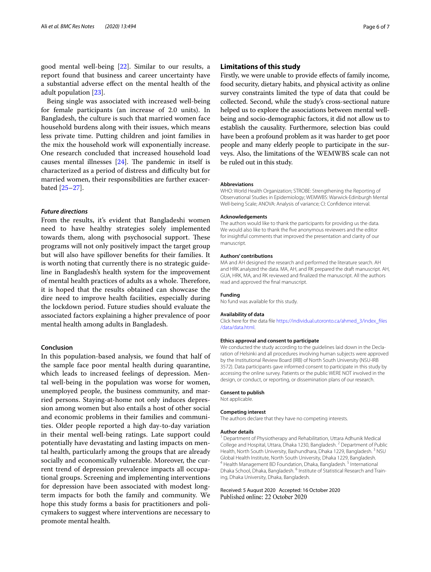good mental well-being [[22](#page-6-21)]. Similar to our results, a report found that business and career uncertainty have a substantial adverse efect on the mental health of the adult population [[23\]](#page-6-22).

Being single was associated with increased well-being for female participants (an increase of 2.0 units). In Bangladesh, the culture is such that married women face household burdens along with their issues, which means less private time. Putting children and joint families in the mix the household work will exponentially increase. One research concluded that increased household load causes mental illnesses  $[24]$  $[24]$ . The pandemic in itself is characterized as a period of distress and difficulty but for married women, their responsibilities are further exacerbated [[25–](#page-6-24)[27](#page-6-25)].

## *Future directions*

From the results, it's evident that Bangladeshi women need to have healthy strategies solely implemented towards them, along with psychosocial support. These programs will not only positively impact the target group but will also have spillover benefts for their families. It is worth noting that currently there is no strategic guideline in Bangladesh's health system for the improvement of mental health practices of adults as a whole. Therefore, it is hoped that the results obtained can showcase the dire need to improve health facilities, especially during the lockdown period. Future studies should evaluate the associated factors explaining a higher prevalence of poor mental health among adults in Bangladesh.

## **Conclusion**

In this population-based analysis, we found that half of the sample face poor mental health during quarantine, which leads to increased feelings of depression. Mental well-being in the population was worse for women, unemployed people, the business community, and married persons. Staying-at-home not only induces depression among women but also entails a host of other social and economic problems in their families and communities. Older people reported a high day-to-day variation in their mental well-being ratings. Late support could potentially have devastating and lasting impacts on mental health, particularly among the groups that are already socially and economically vulnerable. Moreover, the current trend of depression prevalence impacts all occupational groups. Screening and implementing interventions for depression have been associated with modest longterm impacts for both the family and community. We hope this study forms a basis for practitioners and policymakers to suggest where interventions are necessary to promote mental health.

## **Limitations of this study**

Firstly, we were unable to provide efects of family income, food security, dietary habits, and physical activity as online survey constraints limited the type of data that could be collected. Second, while the study's cross-sectional nature helped us to explore the associations between mental wellbeing and socio-demographic factors, it did not allow us to establish the causality. Furthermore, selection bias could have been a profound problem as it was harder to get poor people and many elderly people to participate in the surveys. Also, the limitations of the WEMWBS scale can not be ruled out in this study.

#### **Abbreviations**

WHO: World Health Organization; STROBE: Strengthening the Reporting of Observational Studies in Epidemiology; WEMWBS: Warwick-Edinburgh Mental Well-being Scale; ANOVA: Analysis of variance; CI: Confdence interval.

#### **Acknowledgements**

The authors would like to thank the participants for providing us the data. We would also like to thank the fve anonymous reviewers and the editor for insightful comments that improved the presentation and clarity of our manuscript.

#### **Authors' contributions**

MA and AH designed the research and performed the literature search. AH and HRK analyzed the data. MA, AH, and RK prepared the draft manuscript. AH, GUA, HRK, MA, and RK reviewed and fnalized the manuscript. All the authors read and approved the fnal manuscript.

#### **Funding**

No fund was available for this study.

#### **Availability of data**

Click here for the data fle [https://individual.utoronto.ca/ahmed\\_3/index\\_fles](https://individual.utoronto.ca/ahmed_3/index_files/data/data.html) [/data/data.html.](https://individual.utoronto.ca/ahmed_3/index_files/data/data.html)

## **Ethics approval and consent to participate**

We conducted the study according to the guidelines laid down in the Declaration of Helsinki and all procedures involving human subjects were approved by the Institutional Review Board (IRB) of North South University (NSU-IRB 3572). Data participants gave informed consent to participate in this study by accessing the online survey. Patients or the public WERE NOT involved in the design, or conduct, or reporting, or dissemination plans of our research.

#### **Consent to publish**

Not applicable.

#### **Competing interest**

The authors declare that they have no competing interests.

#### **Author details**

<sup>1</sup> Department of Physiotherapy and Rehabilitation, Uttara Adhunik Medical College and Hospital, Uttara, Dhaka 1230, Bangladesh.<sup>2</sup> Department of Public Health, North South University, Bashundhara, Dhaka 1229, Bangladesh. <sup>3</sup> NSU Global Health Institute, North South University, Dhaka 1229, Bangladesh.<br><sup>4</sup> Health Management BD Foundation, Dhaka, Bangladesh. <sup>5</sup> International Dhaka School, Dhaka, Bangladesh. <sup>6</sup> Institute of Statistical Research and Training, Dhaka University, Dhaka, Bangladesh.

#### Received: 5 August 2020 Accepted: 16 October 2020Published online: 22 October 2020